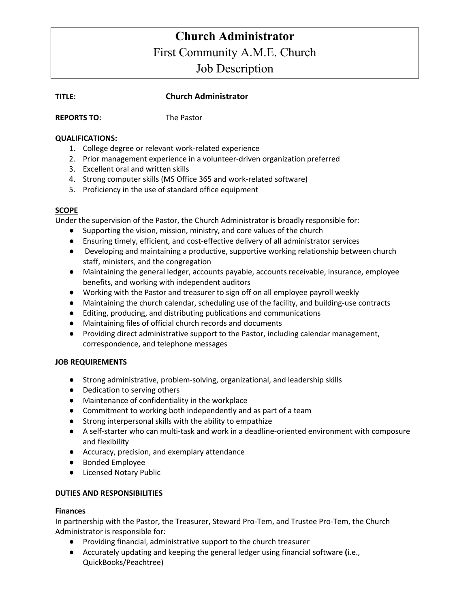# **Church Administrator** First Community A.M.E. Church Job Description

# **TITLE: Church Administrator**

#### **REPORTS TO:** The Pastor

#### **QUALIFICATIONS:**

- 1. College degree or relevant work-related experience
- 2. Prior management experience in a volunteer-driven organization preferred
- 3. Excellent oral and written skills
- 4. Strong computer skills (MS Office 365 and work-related software)
- 5. Proficiency in the use of standard office equipment

## **SCOPE**

Under the supervision of the Pastor, the Church Administrator is broadly responsible for:

- Supporting the vision, mission, ministry, and core values of the church
- Ensuring timely, efficient, and cost-effective delivery of all administrator services
- Developing and maintaining a productive, supportive working relationship between church staff, ministers, and the congregation
- Maintaining the general ledger, accounts payable, accounts receivable, insurance, employee benefits, and working with independent auditors
- Working with the Pastor and treasurer to sign off on all employee payroll weekly
- Maintaining the church calendar, scheduling use of the facility, and building-use contracts
- Editing, producing, and distributing publications and communications
- Maintaining files of official church records and documents
- Providing direct administrative support to the Pastor, including calendar management, correspondence, and telephone messages

## **JOB REQUIREMENTS**

- Strong administrative, problem-solving, organizational, and leadership skills
- Dedication to serving others
- Maintenance of confidentiality in the workplace
- Commitment to working both independently and as part of a team
- Strong interpersonal skills with the ability to empathize
- A self-starter who can multi-task and work in a deadline-oriented environment with composure and flexibility
- Accuracy, precision, and exemplary attendance
- Bonded Employee
- Licensed Notary Public

## **DUTIES AND RESPONSIBILITIES**

## **Finances**

In partnership with the Pastor, the Treasurer, Steward Pro-Tem, and Trustee Pro-Tem, the Church Administrator is responsible for:

- Providing financial, administrative support to the church treasurer
- Accurately updating and keeping the general ledger using financial software **(**i.e., QuickBooks/Peachtree)